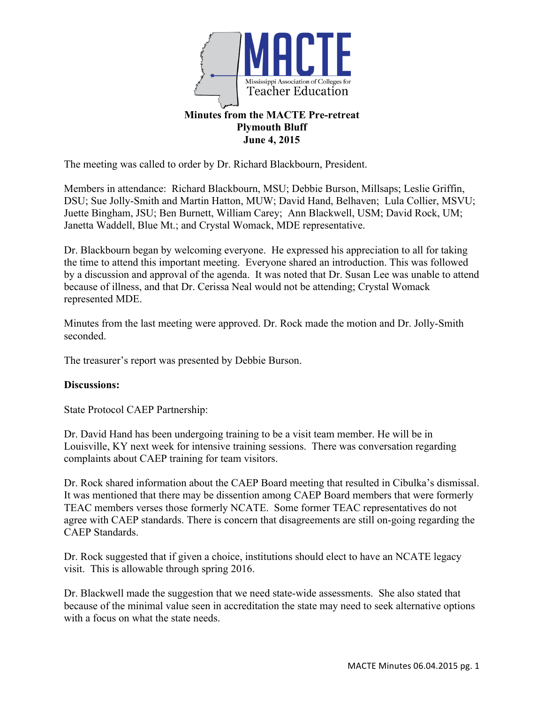

The meeting was called to order by Dr. Richard Blackbourn, President.

Members in attendance: Richard Blackbourn, MSU; Debbie Burson, Millsaps; Leslie Griffin, DSU; Sue Jolly-Smith and Martin Hatton, MUW; David Hand, Belhaven; Lula Collier, MSVU; Juette Bingham, JSU; Ben Burnett, William Carey; Ann Blackwell, USM; David Rock, UM; Janetta Waddell, Blue Mt.; and Crystal Womack, MDE representative.

Dr. Blackbourn began by welcoming everyone. He expressed his appreciation to all for taking the time to attend this important meeting. Everyone shared an introduction. This was followed by a discussion and approval of the agenda. It was noted that Dr. Susan Lee was unable to attend because of illness, and that Dr. Cerissa Neal would not be attending; Crystal Womack represented MDE.

Minutes from the last meeting were approved. Dr. Rock made the motion and Dr. Jolly-Smith seconded.

The treasurer's report was presented by Debbie Burson.

## **Discussions:**

State Protocol CAEP Partnership:

Dr. David Hand has been undergoing training to be a visit team member. He will be in Louisville, KY next week for intensive training sessions. There was conversation regarding complaints about CAEP training for team visitors.

Dr. Rock shared information about the CAEP Board meeting that resulted in Cibulka's dismissal. It was mentioned that there may be dissention among CAEP Board members that were formerly TEAC members verses those formerly NCATE. Some former TEAC representatives do not agree with CAEP standards. There is concern that disagreements are still on-going regarding the CAEP Standards.

Dr. Rock suggested that if given a choice, institutions should elect to have an NCATE legacy visit. This is allowable through spring 2016.

Dr. Blackwell made the suggestion that we need state-wide assessments. She also stated that because of the minimal value seen in accreditation the state may need to seek alternative options with a focus on what the state needs.